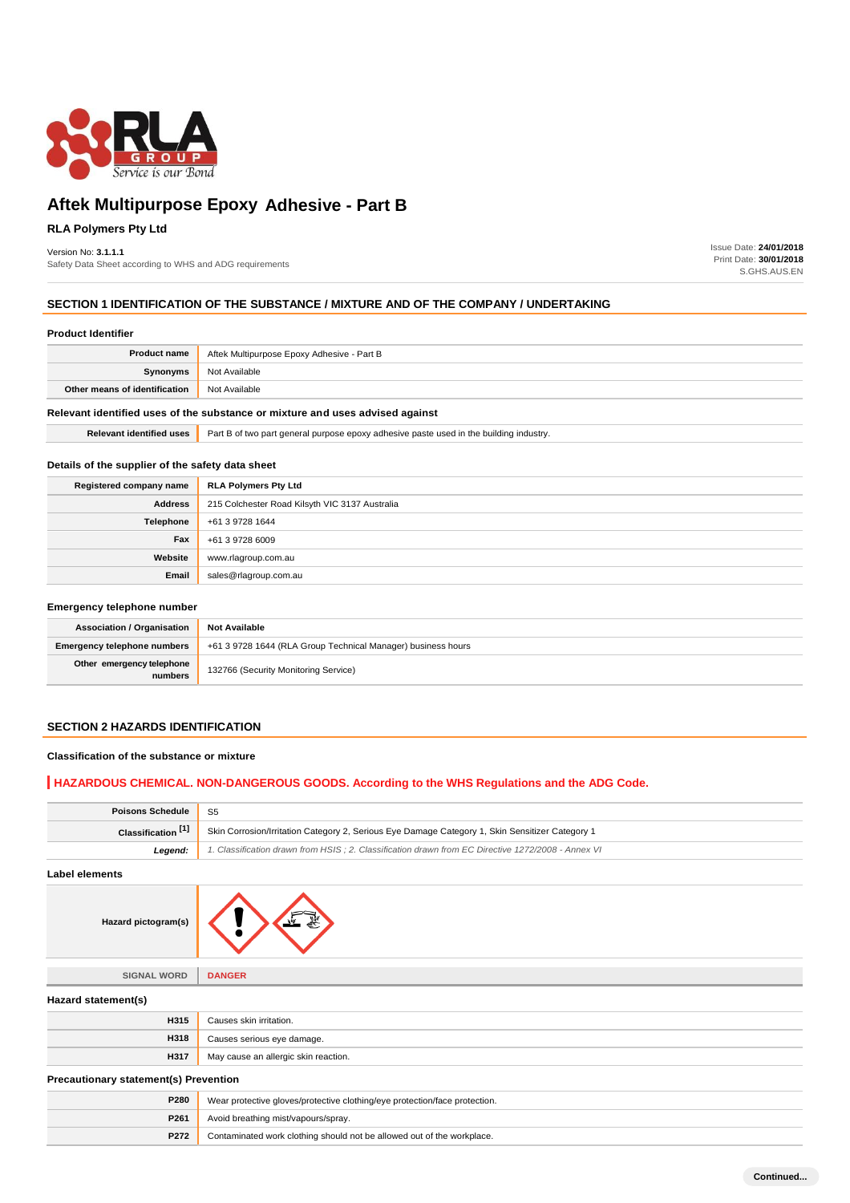

# **Aftek Multipurpose Epoxy Adhesive - Part B**

# **RLA Polymers Pty Ltd**

#### Version No: **3.1.1.1**

Safety Data Sheet according to WHS and ADG requirements

Issue Date: **24/01/2018** Print Date: **30/01/2018** S.GHS.AUS.EN

# **SECTION 1 IDENTIFICATION OF THE SUBSTANCE / MIXTURE AND OF THE COMPANY / UNDERTAKING**

| <b>Product Identifier</b>                                                     |                                                                                        |  |
|-------------------------------------------------------------------------------|----------------------------------------------------------------------------------------|--|
| <b>Product name</b>                                                           | Aftek Multipurpose Epoxy Adhesive - Part B                                             |  |
| Synonyms                                                                      | Not Available                                                                          |  |
| Other means of identification                                                 | Not Available                                                                          |  |
| Relevant identified uses of the substance or mixture and uses advised against |                                                                                        |  |
| <b>Relevant identified uses</b>                                               | Part B of two part general purpose epoxy adhesive paste used in the building industry. |  |

## **Details of the supplier of the safety data sheet**

| Registered company name | <b>RLA Polymers Pty Ltd</b>                    |
|-------------------------|------------------------------------------------|
| <b>Address</b>          | 215 Colchester Road Kilsyth VIC 3137 Australia |
| Telephone               | +61 3 9728 1644                                |
| Fax                     | +61 3 9728 6009                                |
| Website                 | www.rlagroup.com.au                            |
| Email                   | sales@rlagroup.com.au                          |

## **Emergency telephone number**

| <b>Association / Organisation</b>    | <b>Not Available</b>                                         |
|--------------------------------------|--------------------------------------------------------------|
| <b>Emergency telephone numbers</b>   | +61 3 9728 1644 (RLA Group Technical Manager) business hours |
| Other emergency telephone<br>numbers | 132766 (Security Monitoring Service)                         |

# **SECTION 2 HAZARDS IDENTIFICATION**

#### **Classification of the substance or mixture**

# **HAZARDOUS CHEMICAL. NON-DANGEROUS GOODS. According to the WHS Regulations and the ADG Code.**

| Poisons Schedule              | . S5                                                                                               |
|-------------------------------|----------------------------------------------------------------------------------------------------|
| Classification <sup>[1]</sup> | Skin Corrosion/Irritation Category 2, Serious Eye Damage Category 1, Skin Sensitizer Category 1    |
| Leaend:                       | 1. Classification drawn from HSIS ; 2. Classification drawn from EC Directive 1272/2008 - Annex VI |

#### **Label elements**

| pictogram(s) |
|--------------|
|--------------|

# **SIGNAL WORD DANGER**

**Hazard** 

| Hazard statement(s)                          |                                      |
|----------------------------------------------|--------------------------------------|
| H315                                         | Causes skin irritation.              |
| H318                                         | Causes serious eye damage.           |
| <b>H317</b>                                  | May cause an allergic skin reaction. |
| <b>Procautionary statement(s) Provention</b> |                                      |

#### **Precautionary statement(s) Prevention**

| P280 | Wear protective gloves/protective clothing/eye protection/face protection. |
|------|----------------------------------------------------------------------------|
|      | <b>P261</b> Avoid breathing mist/vapours/spray.                            |
| P272 | Contaminated work clothing should not be allowed out of the workplace.     |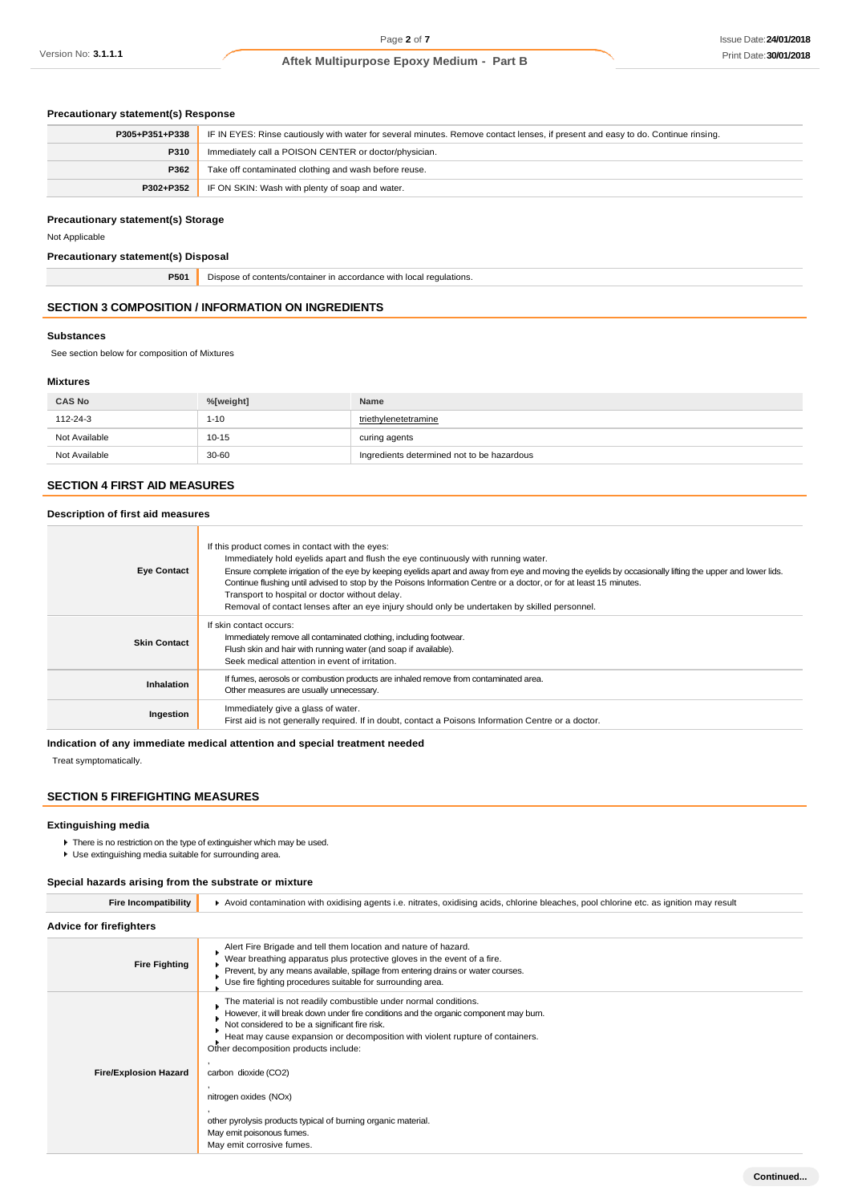## **Precautionary statement(s) Response**

| P305+P351+P338 | IF IN EYES: Rinse cautiously with water for several minutes. Remove contact lenses, if present and easy to do. Continue rinsing. |
|----------------|----------------------------------------------------------------------------------------------------------------------------------|
| P310           | Immediately call a POISON CENTER or doctor/physician.                                                                            |
| P362           | Take off contaminated clothing and wash before reuse.                                                                            |
| P302+P352      | IF ON SKIN: Wash with plenty of soap and water.                                                                                  |

#### **Precautionary statement(s) Storage**

Not Applicable

## **Precautionary statement(s) Disposal**

**P501** Dispose of contents/container in accordance with local regulations.

# **SECTION 3 COMPOSITION / INFORMATION ON INGREDIENTS**

۰

#### **Substances**

See section below for composition of Mixtures

## **Mixtures**

| <b>CAS No</b> | %[weight] | Name                                       |
|---------------|-----------|--------------------------------------------|
| 112-24-3      | $1 - 10$  | triethylenetetramine                       |
| Not Available | $10 - 15$ | curing agents                              |
| Not Available | 30-60     | Ingredients determined not to be hazardous |

## **SECTION 4 FIRST AID MEASURES**

## **Description of first aid measures**

| <b>Eye Contact</b>  | If this product comes in contact with the eyes:<br>Immediately hold eyelids apart and flush the eye continuously with running water.<br>Ensure complete irrigation of the eye by keeping eyelids apart and away from eye and moving the eyelids by occasionally lifting the upper and lower lids.<br>Continue flushing until advised to stop by the Poisons Information Centre or a doctor, or for at least 15 minutes.<br>Transport to hospital or doctor without delay.<br>Removal of contact lenses after an eye injury should only be undertaken by skilled personnel. |
|---------------------|----------------------------------------------------------------------------------------------------------------------------------------------------------------------------------------------------------------------------------------------------------------------------------------------------------------------------------------------------------------------------------------------------------------------------------------------------------------------------------------------------------------------------------------------------------------------------|
| <b>Skin Contact</b> | If skin contact occurs:<br>Immediately remove all contaminated clothing, including footwear.<br>Flush skin and hair with running water (and soap if available).<br>Seek medical attention in event of irritation.                                                                                                                                                                                                                                                                                                                                                          |
| <b>Inhalation</b>   | If fumes, aerosols or combustion products are inhaled remove from contaminated area.<br>Other measures are usually unnecessary.                                                                                                                                                                                                                                                                                                                                                                                                                                            |
| Ingestion           | Immediately give a glass of water.<br>First aid is not generally required. If in doubt, contact a Poisons Information Centre or a doctor.                                                                                                                                                                                                                                                                                                                                                                                                                                  |

# **Indication of any immediate medical attention and special treatment needed**

Treat symptomatically.

# **SECTION 5 FIREFIGHTING MEASURES**

#### **Extinguishing media**

- **F** There is no restriction on the type of extinguisher which may be used.
- Use extinguishing media suitable for surrounding area.

## **Special hazards arising from the substrate or mixture**

| <b>Fire Incompatibility</b>    | ▶ Avoid contamination with oxidising agents i.e. nitrates, oxidising acids, chlorine bleaches, pool chlorine etc. as ignition may result                                                                                                                                                                                                                                                                                                                                                                         |  |  |
|--------------------------------|------------------------------------------------------------------------------------------------------------------------------------------------------------------------------------------------------------------------------------------------------------------------------------------------------------------------------------------------------------------------------------------------------------------------------------------------------------------------------------------------------------------|--|--|
| <b>Advice for firefighters</b> |                                                                                                                                                                                                                                                                                                                                                                                                                                                                                                                  |  |  |
| <b>Fire Fighting</b>           | Alert Fire Brigade and tell them location and nature of hazard.<br>Wear breathing apparatus plus protective gloves in the event of a fire.<br>Prevent, by any means available, spillage from entering drains or water courses.<br>Use fire fighting procedures suitable for surrounding area.                                                                                                                                                                                                                    |  |  |
| <b>Fire/Explosion Hazard</b>   | The material is not readily combustible under normal conditions.<br>However, it will break down under fire conditions and the organic component may burn.<br>Not considered to be a significant fire risk.<br>Heat may cause expansion or decomposition with violent rupture of containers.<br>Other decomposition products include:<br>carbon dioxide (CO2)<br>nitrogen oxides (NOx)<br>other pyrolysis products typical of burning organic material.<br>May emit poisonous fumes.<br>May emit corrosive fumes. |  |  |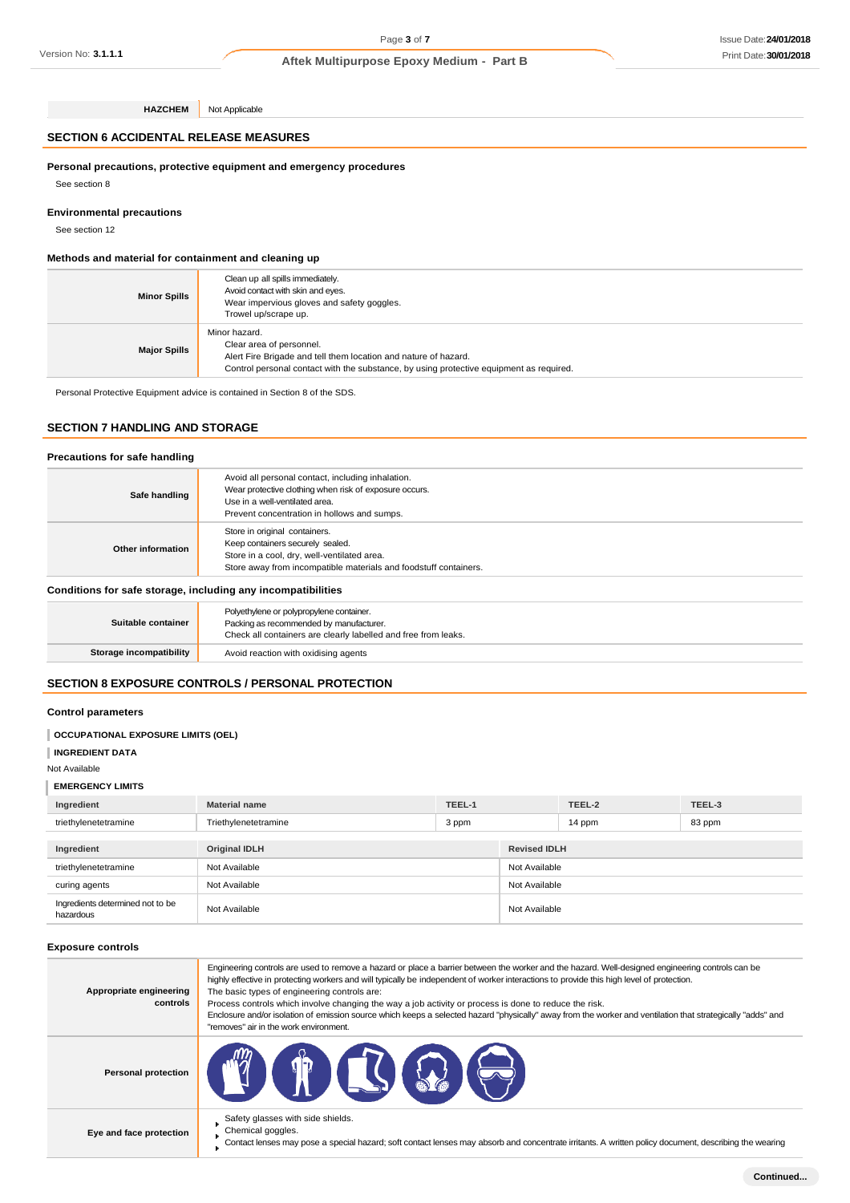**HAZCHEM** Not Applicable

# **SECTION 6 ACCIDENTAL RELEASE MEASURES**

## **Personal precautions, protective equipment and emergency procedures**

See section 8

## **Environmental precautions**

See section 12

# **Methods and material for containment and cleaning up**

| <b>Minor Spills</b> | Clean up all spills immediately.<br>Avoid contact with skin and eyes.<br>Wear impervious gloves and safety goggles.<br>Trowel up/scrape up.                                                             |
|---------------------|---------------------------------------------------------------------------------------------------------------------------------------------------------------------------------------------------------|
| <b>Major Spills</b> | Minor hazard.<br>Clear area of personnel.<br>Alert Fire Brigade and tell them location and nature of hazard.<br>Control personal contact with the substance, by using protective equipment as required. |

Personal Protective Equipment advice is contained in Section 8 of the SDS.

# **SECTION 7 HANDLING AND STORAGE**

#### **Precautions for safe handling**

| Safe handling     | Avoid all personal contact, including inhalation.<br>Wear protective clothing when risk of exposure occurs.<br>Use in a well-ventilated area.<br>Prevent concentration in hollows and sumps. |
|-------------------|----------------------------------------------------------------------------------------------------------------------------------------------------------------------------------------------|
| Other information | Store in original containers.<br>Keep containers securely sealed.<br>Store in a cool, dry, well-ventilated area.<br>Store away from incompatible materials and foodstuff containers.         |

## **Conditions for safe storage, including any incompatibilities**

| Suitable container      | Polyethylene or polypropylene container.<br>Packing as recommended by manufacturer.<br>Check all containers are clearly labelled and free from leaks. |
|-------------------------|-------------------------------------------------------------------------------------------------------------------------------------------------------|
| Storage incompatibility | Avoid reaction with oxidising agents                                                                                                                  |

# **SECTION 8 EXPOSURE CONTROLS / PERSONAL PROTECTION**

## **Control parameters**

## **OCCUPATIONAL EXPOSURE LIMITS (OEL)**

**INGREDIENT DATA**

#### Not Available

#### **EMERGENCY LIMITS**

| Ingredient                                    | <b>Material name</b> | TEEL-1 |                     | TEEL-2        | TEEL-3 |  |
|-----------------------------------------------|----------------------|--------|---------------------|---------------|--------|--|
| triethylenetetramine                          | Triethylenetetramine | 3 ppm  |                     | 14 ppm        | 83 ppm |  |
|                                               |                      |        |                     |               |        |  |
| Ingredient                                    | <b>Original IDLH</b> |        | <b>Revised IDLH</b> |               |        |  |
| triethylenetetramine                          | Not Available        |        | Not Available       |               |        |  |
| curing agents                                 | Not Available        |        |                     | Not Available |        |  |
| Ingredients determined not to be<br>hazardous | Not Available        |        | Not Available       |               |        |  |

## **Exposure controls**

| Appropriate engineering<br>controls | Engineering controls are used to remove a hazard or place a barrier between the worker and the hazard. Well-designed engineering controls can be<br>highly effective in protecting workers and will typically be independent of worker interactions to provide this high level of protection.<br>The basic types of engineering controls are:<br>Process controls which involve changing the way a job activity or process is done to reduce the risk.<br>Enclosure and/or isolation of emission source which keeps a selected hazard "physically" away from the worker and ventilation that strategically "adds" and<br>"removes" air in the work environment. |
|-------------------------------------|-----------------------------------------------------------------------------------------------------------------------------------------------------------------------------------------------------------------------------------------------------------------------------------------------------------------------------------------------------------------------------------------------------------------------------------------------------------------------------------------------------------------------------------------------------------------------------------------------------------------------------------------------------------------|
| <b>Personal protection</b>          | <b>CTO IS (2) (2)</b>                                                                                                                                                                                                                                                                                                                                                                                                                                                                                                                                                                                                                                           |
| Eye and face protection             | Safety glasses with side shields.<br>Chemical goggles.<br>Contact lenses may pose a special hazard; soft contact lenses may absorb and concentrate irritants. A written policy document, describing the wearing                                                                                                                                                                                                                                                                                                                                                                                                                                                 |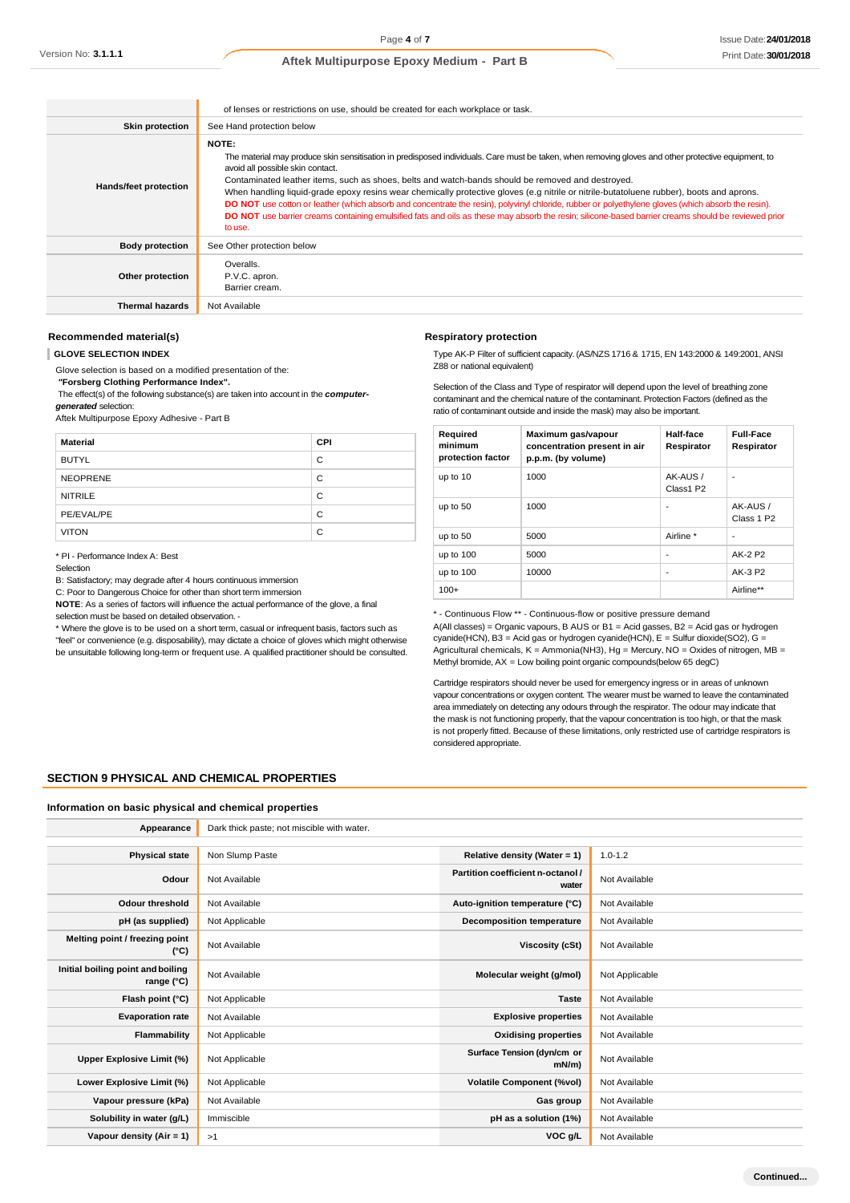|                        | of lenses or restrictions on use, should be created for each workplace or task.                                                                                                                                                                                                                                                                                                                                                                                                                                                                                                                                                                                                                                                                                                  |  |  |  |
|------------------------|----------------------------------------------------------------------------------------------------------------------------------------------------------------------------------------------------------------------------------------------------------------------------------------------------------------------------------------------------------------------------------------------------------------------------------------------------------------------------------------------------------------------------------------------------------------------------------------------------------------------------------------------------------------------------------------------------------------------------------------------------------------------------------|--|--|--|
| <b>Skin protection</b> | See Hand protection below                                                                                                                                                                                                                                                                                                                                                                                                                                                                                                                                                                                                                                                                                                                                                        |  |  |  |
| Hands/feet protection  | <b>NOTE:</b><br>The material may produce skin sensitisation in predisposed individuals. Care must be taken, when removing gloves and other protective equipment, to<br>avoid all possible skin contact.<br>Contaminated leather items, such as shoes, belts and watch-bands should be removed and destroyed.<br>When handling liquid-grade epoxy resins wear chemically protective gloves (e.g nitrile or nitrile-butatoluene rubber), boots and aprons.<br>DO NOT use cotton or leather (which absorb and concentrate the resin), polyvinyl chloride, rubber or polyethylene gloves (which absorb the resin).<br>DO NOT use barrier creams containing emulsified fats and oils as these may absorb the resin; silicone-based barrier creams should be reviewed prior<br>to use. |  |  |  |
| <b>Body protection</b> | See Other protection below                                                                                                                                                                                                                                                                                                                                                                                                                                                                                                                                                                                                                                                                                                                                                       |  |  |  |
| Other protection       | Overalls.<br>P.V.C. apron.<br>Barrier cream.                                                                                                                                                                                                                                                                                                                                                                                                                                                                                                                                                                                                                                                                                                                                     |  |  |  |
| <b>Thermal hazards</b> | Not Available                                                                                                                                                                                                                                                                                                                                                                                                                                                                                                                                                                                                                                                                                                                                                                    |  |  |  |

## **Recommended material(s)**

**GLOVE SELECTION INDEX**

Glove selection is based on a modified presentation of the:

*"***Forsberg Clothing Performance Index".**

The effect(s) of the following substance(s) are taken into account in the *computergenerated* selection:

Aftek Multipurpose Epoxy Adhesive - Part B

| <b>Material</b> | <b>CPI</b> |
|-----------------|------------|
| <b>BUTYL</b>    | C          |
| <b>NEOPRENE</b> | C          |
| <b>NITRILE</b>  | C          |
| PE/EVAL/PE      | C          |
| <b>VITON</b>    | C          |

\* PI - Performance Index A: Best

B: Satisfactory; may degrade after 4 hours continuous immersion

C: Poor to Dangerous Choice for other than short term immersion

**NOTE**: As a series of factors will influence the actual performance of the glove, a final selection must be based on detailed observation. -

\* Where the glove is to be used on a short term, casual or infrequent basis, factors such as "feel" or convenience (e.g. disposability), may dictate a choice of gloves which might otherwise be unsuitable following long-term or frequent use. A qualified practitioner should be consulted.

|  |  | Respiratory protection |  |
|--|--|------------------------|--|
|  |  |                        |  |

Type AK-P Filter of sufficient capacity. (AS/NZS 1716 & 1715, EN 143:2000 & 149:2001, ANSI Z88 or national equivalent)

Selection of the Class and Type of respirator will depend upon the level of breathing zone contaminant and the chemical nature of the contaminant. Protection Factors (defined as the ratio of contaminant outside and inside the mask) may also be important.

| Required<br>minimum<br>protection factor | Maximum gas/vapour<br>concentration present in air<br>p.p.m. (by volume) | Half-face<br>Respirator | <b>Full-Face</b><br>Respirator     |
|------------------------------------------|--------------------------------------------------------------------------|-------------------------|------------------------------------|
| up to 10                                 | 1000                                                                     | AK-AUS /<br>Class1 P2   | ٠                                  |
| up to 50                                 | 1000                                                                     |                         | AK-AUS /<br>Class 1 P <sub>2</sub> |
| up to 50                                 | 5000                                                                     | Airline *               | ٠                                  |
| up to 100                                | 5000                                                                     |                         | AK-2 P2                            |
| up to 100                                | 10000                                                                    |                         | AK-3 P2                            |
| $100+$                                   |                                                                          |                         | Airline**                          |

\* - Continuous Flow \*\* - Continuous-flow or positive pressure demand A(All classes) = Organic vapours, B AUS or B1 = Acid gasses, B2 = Acid gas or hydrogen cyanide(HCN), B3 = Acid gas or hydrogen cyanide(HCN), E = Sulfur dioxide(SO2), G = Agricultural chemicals, K = Ammonia(NH3), Hg = Mercury, NO = Oxides of nitrogen, MB = Methyl bromide, AX = Low boiling point organic compounds(below 65 degC)

Cartridge respirators should never be used for emergency ingress or in areas of unknown vapour concentrations or oxygen content. The wearer must be warned to leave the contaminated area immediately on detecting any odours through the respirator. The odour may indicate that the mask is not functioning properly, that the vapour concentration is too high, or that the mask is not properly fitted. Because of these limitations, only restricted use of cartridge respirators is considered appropriate.

## **SECTION 9 PHYSICAL AND CHEMICAL PROPERTIES**

#### **Information on basic physical and chemical properties**

| Appearance                                      | Dark thick paste; not miscible with water. |                                            |                |
|-------------------------------------------------|--------------------------------------------|--------------------------------------------|----------------|
|                                                 |                                            |                                            |                |
| <b>Physical state</b>                           | Non Slump Paste                            | Relative density (Water = 1)               | $1.0 - 1.2$    |
| Odour                                           | Not Available                              | Partition coefficient n-octanol /<br>water | Not Available  |
| <b>Odour threshold</b>                          | Not Available                              | Auto-ignition temperature (°C)             | Not Available  |
| pH (as supplied)                                | Not Applicable                             | <b>Decomposition temperature</b>           | Not Available  |
| Melting point / freezing point<br>(°C)          | Not Available                              | Viscosity (cSt)                            | Not Available  |
| Initial boiling point and boiling<br>range (°C) | Not Available                              | Molecular weight (g/mol)                   | Not Applicable |
| Flash point (°C)                                | Not Applicable                             | <b>Taste</b>                               | Not Available  |
| <b>Evaporation rate</b>                         | Not Available                              | <b>Explosive properties</b>                | Not Available  |
| Flammability                                    | Not Applicable                             | <b>Oxidising properties</b>                | Not Available  |
| Upper Explosive Limit (%)                       | Not Applicable                             | Surface Tension (dyn/cm or<br>mN/m         | Not Available  |
| Lower Explosive Limit (%)                       | Not Applicable                             | <b>Volatile Component (%vol)</b>           | Not Available  |
| Vapour pressure (kPa)                           | Not Available                              | Gas group                                  | Not Available  |
| Solubility in water (g/L)                       | Immiscible                                 | pH as a solution (1%)                      | Not Available  |
| Vapour density (Air = 1)                        | >1                                         | VOC g/L                                    | Not Available  |

Selection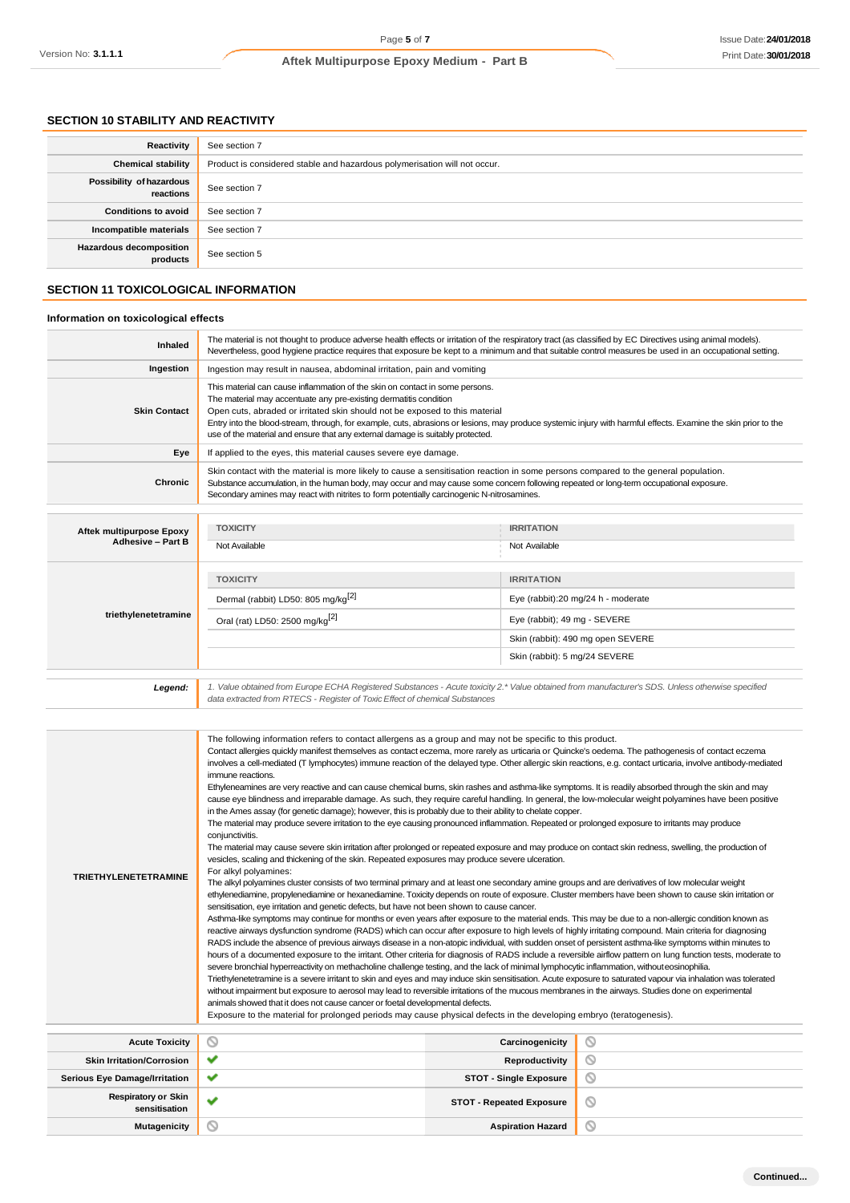# **SECTION 10 STABILITY AND REACTIVITY**

| Reactivity                                 | See section 7                                                             |
|--------------------------------------------|---------------------------------------------------------------------------|
| <b>Chemical stability</b>                  | Product is considered stable and hazardous polymerisation will not occur. |
| Possibility of hazardous<br>reactions      | See section 7                                                             |
| <b>Conditions to avoid</b>                 | See section 7                                                             |
| Incompatible materials                     | See section 7                                                             |
| <b>Hazardous decomposition</b><br>products | See section 5                                                             |

# **SECTION 11 TOXICOLOGICAL INFORMATION**

# **Information on toxicological effects**

| Inhaled                         | The material is not thought to produce adverse health effects or irritation of the respiratory tract (as classified by EC Directives using animal models).<br>Nevertheless, good hygiene practice requires that exposure be kept to a minimum and that suitable control measures be used in an occupational setting.                                                                                                                                                                 |                                    |  |  |
|---------------------------------|--------------------------------------------------------------------------------------------------------------------------------------------------------------------------------------------------------------------------------------------------------------------------------------------------------------------------------------------------------------------------------------------------------------------------------------------------------------------------------------|------------------------------------|--|--|
| Ingestion                       | Ingestion may result in nausea, abdominal irritation, pain and vomiting                                                                                                                                                                                                                                                                                                                                                                                                              |                                    |  |  |
| <b>Skin Contact</b>             | This material can cause inflammation of the skin on contact in some persons.<br>The material may accentuate any pre-existing dermatitis condition<br>Open cuts, abraded or irritated skin should not be exposed to this material<br>Entry into the blood-stream, through, for example, cuts, abrasions or lesions, may produce systemic injury with harmful effects. Examine the skin prior to the<br>use of the material and ensure that any external damage is suitably protected. |                                    |  |  |
| Eye                             | If applied to the eyes, this material causes severe eye damage.                                                                                                                                                                                                                                                                                                                                                                                                                      |                                    |  |  |
| <b>Chronic</b>                  | Skin contact with the material is more likely to cause a sensitisation reaction in some persons compared to the general population.<br>Substance accumulation, in the human body, may occur and may cause some concern following repeated or long-term occupational exposure.<br>Secondary amines may react with nitrites to form potentially carcinogenic N-nitrosamines.                                                                                                           |                                    |  |  |
|                                 |                                                                                                                                                                                                                                                                                                                                                                                                                                                                                      |                                    |  |  |
| <b>Aftek multipurpose Epoxy</b> | <b>TOXICITY</b>                                                                                                                                                                                                                                                                                                                                                                                                                                                                      | <b>IRRITATION</b>                  |  |  |
| <b>Adhesive - Part B</b>        | Not Available                                                                                                                                                                                                                                                                                                                                                                                                                                                                        | Not Available                      |  |  |
|                                 | <b>TOXICITY</b>                                                                                                                                                                                                                                                                                                                                                                                                                                                                      | <b>IRRITATION</b>                  |  |  |
|                                 | Dermal (rabbit) LD50: 805 mg/kg <sup>[2]</sup>                                                                                                                                                                                                                                                                                                                                                                                                                                       | Eye (rabbit):20 mg/24 h - moderate |  |  |
| triethylenetetramine            | Oral (rat) LD50: 2500 mg/kg <sup>[2]</sup>                                                                                                                                                                                                                                                                                                                                                                                                                                           | Eye (rabbit); 49 mg - SEVERE       |  |  |
|                                 |                                                                                                                                                                                                                                                                                                                                                                                                                                                                                      | Skin (rabbit): 490 mg open SEVERE  |  |  |
|                                 |                                                                                                                                                                                                                                                                                                                                                                                                                                                                                      | Skin (rabbit): 5 mg/24 SEVERE      |  |  |
|                                 |                                                                                                                                                                                                                                                                                                                                                                                                                                                                                      |                                    |  |  |
| Legend:                         | 1. Value obtained from Europe ECHA Registered Substances - Acute toxicity 2.* Value obtained from manufacturer's SDS. Unless otherwise specified<br>data extracted from RTECS - Register of Toxic Effect of chemical Substances                                                                                                                                                                                                                                                      |                                    |  |  |

| <b>TRIETHYLENETETRAMINE</b>                 | The following information refers to contact allergens as a group and may not be specific to this product.<br>Contact allergies quickly manifest themselves as contact eczema, more rarely as urticaria or Quincke's oedema. The pathogenesis of contact eczema<br>involves a cell-mediated (T lymphocytes) immune reaction of the delayed type. Other allergic skin reactions, e.g. contact urticaria, involve antibody-mediated<br>immune reactions.<br>Ethyleneamines are very reactive and can cause chemical bums, skin rashes and asthma-like symptoms. It is readily absorbed through the skin and may<br>cause eye blindness and irreparable damage. As such, they require careful handling. In general, the low-molecular weight polyamines have been positive<br>in the Ames assay (for genetic damage); however, this is probably due to their ability to chelate copper.<br>The material may produce severe irritation to the eye causing pronounced inflammation. Repeated or prolonged exposure to irritants may produce<br>conjunctivitis.<br>The material may cause severe skin irritation after prolonged or repeated exposure and may produce on contact skin redness, swelling, the production of<br>vesicles, scaling and thickening of the skin. Repeated exposures may produce severe ulceration.<br>For alkyl polyamines:<br>The alkyl polyamines cluster consists of two terminal primary and at least one secondary amine groups and are derivatives of low molecular weight<br>ethylenediamine, propylenediamine or hexanediamine. Toxicity depends on route of exposure. Cluster members have been shown to cause skin irritation or<br>sensitisation, eye irritation and genetic defects, but have not been shown to cause cancer.<br>Asthma-like symptoms may continue for months or even years after exposure to the material ends. This may be due to a non-allergic condition known as<br>reactive airways dysfunction syndrome (RADS) which can occur after exposure to high levels of highly irritating compound. Main criteria for diagnosing<br>RADS include the absence of previous airways disease in a non-atopic individual, with sudden onset of persistent asthma-like symptoms within minutes to<br>hours of a documented exposure to the irritant. Other criteria for diagnosis of RADS include a reversible airflow pattern on lung function tests, moderate to<br>severe bronchial hyperreactivity on methacholine challenge testing, and the lack of minimal lymphocytic inflammation, without eosinophilia.<br>Triethylenetetramine is a severe irritant to skin and eyes and may induce skin sensitisation. Acute exposure to saturated vapour via inhalation was tolerated<br>without impairment but exposure to aerosol may lead to reversible irritations of the mucous membranes in the airways. Studies done on experimental<br>animals showed that it does not cause cancer or foetal developmental defects.<br>Exposure to the material for prolonged periods may cause physical defects in the developing embryo (teratogenesis).<br>$\circ$<br>O<br>Carcinogenicity |                                 |   |  |  |
|---------------------------------------------|------------------------------------------------------------------------------------------------------------------------------------------------------------------------------------------------------------------------------------------------------------------------------------------------------------------------------------------------------------------------------------------------------------------------------------------------------------------------------------------------------------------------------------------------------------------------------------------------------------------------------------------------------------------------------------------------------------------------------------------------------------------------------------------------------------------------------------------------------------------------------------------------------------------------------------------------------------------------------------------------------------------------------------------------------------------------------------------------------------------------------------------------------------------------------------------------------------------------------------------------------------------------------------------------------------------------------------------------------------------------------------------------------------------------------------------------------------------------------------------------------------------------------------------------------------------------------------------------------------------------------------------------------------------------------------------------------------------------------------------------------------------------------------------------------------------------------------------------------------------------------------------------------------------------------------------------------------------------------------------------------------------------------------------------------------------------------------------------------------------------------------------------------------------------------------------------------------------------------------------------------------------------------------------------------------------------------------------------------------------------------------------------------------------------------------------------------------------------------------------------------------------------------------------------------------------------------------------------------------------------------------------------------------------------------------------------------------------------------------------------------------------------------------------------------------------------------------------------------------------------------------------------------------------------------------------------------------------------------------------------------------------------------------------------------------------------------------------------------------------------------|---------------------------------|---|--|--|
| <b>Acute Toxicity</b>                       |                                                                                                                                                                                                                                                                                                                                                                                                                                                                                                                                                                                                                                                                                                                                                                                                                                                                                                                                                                                                                                                                                                                                                                                                                                                                                                                                                                                                                                                                                                                                                                                                                                                                                                                                                                                                                                                                                                                                                                                                                                                                                                                                                                                                                                                                                                                                                                                                                                                                                                                                                                                                                                                                                                                                                                                                                                                                                                                                                                                                                                                                                                                              |                                 |   |  |  |
| <b>Skin Irritation/Corrosion</b>            | ✔                                                                                                                                                                                                                                                                                                                                                                                                                                                                                                                                                                                                                                                                                                                                                                                                                                                                                                                                                                                                                                                                                                                                                                                                                                                                                                                                                                                                                                                                                                                                                                                                                                                                                                                                                                                                                                                                                                                                                                                                                                                                                                                                                                                                                                                                                                                                                                                                                                                                                                                                                                                                                                                                                                                                                                                                                                                                                                                                                                                                                                                                                                                            | Reproductivity                  | 0 |  |  |
| <b>Serious Eye Damage/Irritation</b>        | ✓                                                                                                                                                                                                                                                                                                                                                                                                                                                                                                                                                                                                                                                                                                                                                                                                                                                                                                                                                                                                                                                                                                                                                                                                                                                                                                                                                                                                                                                                                                                                                                                                                                                                                                                                                                                                                                                                                                                                                                                                                                                                                                                                                                                                                                                                                                                                                                                                                                                                                                                                                                                                                                                                                                                                                                                                                                                                                                                                                                                                                                                                                                                            | <b>STOT - Single Exposure</b>   | O |  |  |
| <b>Respiratory or Skin</b><br>sensitisation | ✓                                                                                                                                                                                                                                                                                                                                                                                                                                                                                                                                                                                                                                                                                                                                                                                                                                                                                                                                                                                                                                                                                                                                                                                                                                                                                                                                                                                                                                                                                                                                                                                                                                                                                                                                                                                                                                                                                                                                                                                                                                                                                                                                                                                                                                                                                                                                                                                                                                                                                                                                                                                                                                                                                                                                                                                                                                                                                                                                                                                                                                                                                                                            | <b>STOT - Repeated Exposure</b> | ∾ |  |  |
| <b>Mutagenicity</b>                         | Q                                                                                                                                                                                                                                                                                                                                                                                                                                                                                                                                                                                                                                                                                                                                                                                                                                                                                                                                                                                                                                                                                                                                                                                                                                                                                                                                                                                                                                                                                                                                                                                                                                                                                                                                                                                                                                                                                                                                                                                                                                                                                                                                                                                                                                                                                                                                                                                                                                                                                                                                                                                                                                                                                                                                                                                                                                                                                                                                                                                                                                                                                                                            | <b>Aspiration Hazard</b>        | Q |  |  |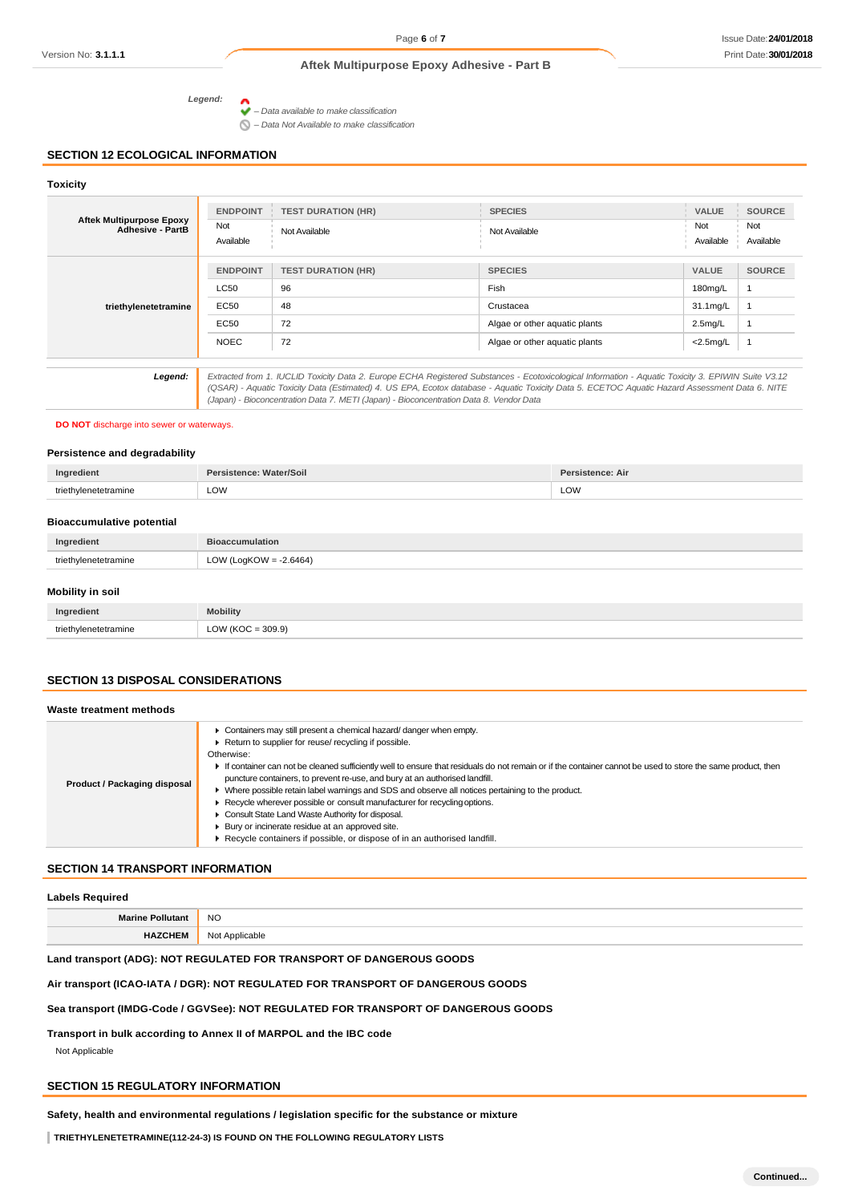## **Aftek Multipurpose Epoxy Adhesive - Part B**

*Legend:*

*– Data available to make classification*

*– Data Not Available to make classification*

## **SECTION 12 ECOLOGICAL INFORMATION**

# **Toxicity Aftek Multipurpose Epoxy Adhesive - PartB ENDPOINT TEST DURATION (HR) SPECIES VALUE SOURCE** Not Not Available Not Available Not Not Available Available Available Available Available Available Available Available Available Available Available **triethylenetetramine** *Legend: Extracted from 1. IUCLID Toxicity Data 2. Europe ECHA Registered Substances - Ecotoxicological Information - Aquatic Toxicity 3. EPIWIN Suite V3.12 (QSAR) - Aquatic Toxicity Data (Estimated) 4. US EPA, Ecotox database - Aquatic Toxicity Data 5. ECETOC Aquatic Hazard Assessment Data 6. NITE (Japan) - Bioconcentration Data 7. METI (Japan) - Bioconcentration Data 8. Vendor Data* **ENDPOINT TEST DURATION (HR) SPECIES VALUE SOURCE** LC50 96 Fish 180mg/L 1 EC50 48 Crustacea 31.1mg/L 1 EC50 72 Algae or other aquatic plants 2.5mg/L 1 NOEC 72 Algae or other aquatic plants <2.5mg/L 1

#### **DO NOT** discharge into sewer or waterways.

#### **Persistence and degradability**

| Ingredient                       | Persistence: Water/Soil | Persistence: Air |
|----------------------------------|-------------------------|------------------|
| triethylenetetramine             | LOW                     | LOW              |
| <b>Bioaccumulative potential</b> |                         |                  |

|                  | Ingredient           | <b>Bioaccumulation</b>    |
|------------------|----------------------|---------------------------|
|                  | triethylenetetramine | LOW (LogKOW = $-2.6464$ ) |
|                  |                      |                           |
| Mobility in soil |                      |                           |

| Ingredient        | <b>Mobility</b>                          |
|-------------------|------------------------------------------|
| triathy<br>amıne: | $= 309.9$<br>$\bigcap M$<br>$\sim$ $\mu$ |

## **SECTION 13 DISPOSAL CONSIDERATIONS**

## **Waste treatment methods**

| Product / Packaging disposal | Containers may still present a chemical hazard/danger when empty.<br>Return to supplier for reuse/ recycling if possible.<br>Otherwise:<br>If container can not be cleaned sufficiently well to ensure that residuals do not remain or if the container cannot be used to store the same product, then<br>puncture containers, to prevent re-use, and bury at an authorised landfill.<br>▶ Where possible retain label warnings and SDS and observe all notices pertaining to the product.<br>▶ Recycle wherever possible or consult manufacturer for recycling options.<br>Consult State Land Waste Authority for disposal.<br>▶ Bury or incinerate residue at an approved site.<br>Recycle containers if possible, or dispose of in an authorised landfill. |
|------------------------------|---------------------------------------------------------------------------------------------------------------------------------------------------------------------------------------------------------------------------------------------------------------------------------------------------------------------------------------------------------------------------------------------------------------------------------------------------------------------------------------------------------------------------------------------------------------------------------------------------------------------------------------------------------------------------------------------------------------------------------------------------------------|
|------------------------------|---------------------------------------------------------------------------------------------------------------------------------------------------------------------------------------------------------------------------------------------------------------------------------------------------------------------------------------------------------------------------------------------------------------------------------------------------------------------------------------------------------------------------------------------------------------------------------------------------------------------------------------------------------------------------------------------------------------------------------------------------------------|

## **SECTION 14 TRANSPORT INFORMATION**

#### **Labels Required**

| ___                     |                |
|-------------------------|----------------|
| <b>Marine Pollutant</b> | <b>NO</b>      |
| <b>HAZCHEM</b>          | Not Applicable |

## **Land transport (ADG): NOT REGULATED FOR TRANSPORT OF DANGEROUS GOODS**

## **Air transport (ICAO-IATA / DGR): NOT REGULATED FOR TRANSPORT OF DANGEROUS GOODS**

#### **Sea transport (IMDG-Code / GGVSee): NOT REGULATED FOR TRANSPORT OF DANGEROUS GOODS**

**Transport in bulk according to Annex II of MARPOL and the IBC code**

Not Applicable

## **SECTION 15 REGULATORY INFORMATION**

**Safety, health and environmental regulations / legislation specific for the substance or mixture**

**TRIETHYLENETETRAMINE(112-24-3) IS FOUND ON THE FOLLOWING REGULATORY LISTS**